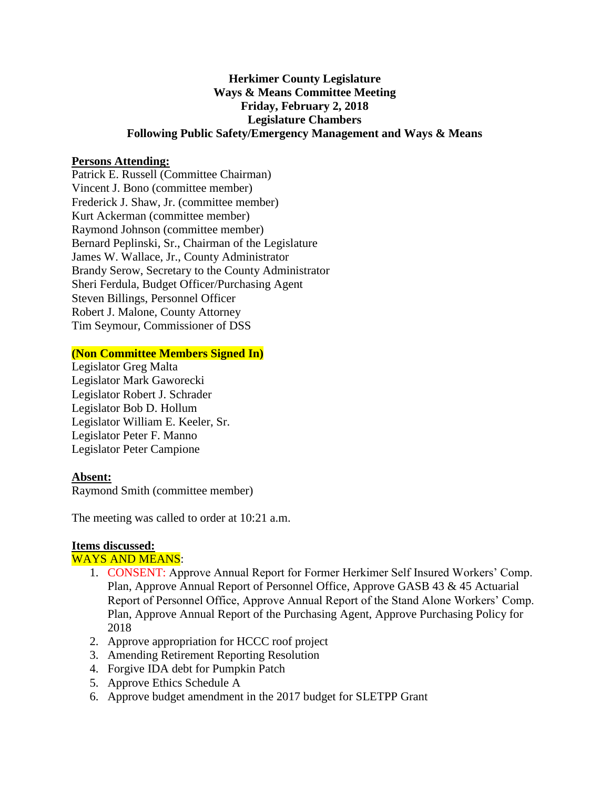# **Herkimer County Legislature Ways & Means Committee Meeting Friday, February 2, 2018 Legislature Chambers Following Public Safety/Emergency Management and Ways & Means**

## **Persons Attending:**

Patrick E. Russell (Committee Chairman) Vincent J. Bono (committee member) Frederick J. Shaw, Jr. (committee member) Kurt Ackerman (committee member) Raymond Johnson (committee member) Bernard Peplinski, Sr., Chairman of the Legislature James W. Wallace, Jr., County Administrator Brandy Serow, Secretary to the County Administrator Sheri Ferdula, Budget Officer/Purchasing Agent Steven Billings, Personnel Officer Robert J. Malone, County Attorney Tim Seymour, Commissioner of DSS

## **(Non Committee Members Signed In)**

Legislator Greg Malta Legislator Mark Gaworecki Legislator Robert J. Schrader Legislator Bob D. Hollum Legislator William E. Keeler, Sr. Legislator Peter F. Manno Legislator Peter Campione

## **Absent:**

Raymond Smith (committee member)

The meeting was called to order at 10:21 a.m.

#### **Items discussed:**

#### WAYS AND MEANS:

- 1. CONSENT: Approve Annual Report for Former Herkimer Self Insured Workers' Comp. Plan, Approve Annual Report of Personnel Office, Approve GASB 43 & 45 Actuarial Report of Personnel Office, Approve Annual Report of the Stand Alone Workers' Comp. Plan, Approve Annual Report of the Purchasing Agent, Approve Purchasing Policy for 2018
- 2. Approve appropriation for HCCC roof project
- 3. Amending Retirement Reporting Resolution
- 4. Forgive IDA debt for Pumpkin Patch
- 5. Approve Ethics Schedule A
- 6. Approve budget amendment in the 2017 budget for SLETPP Grant